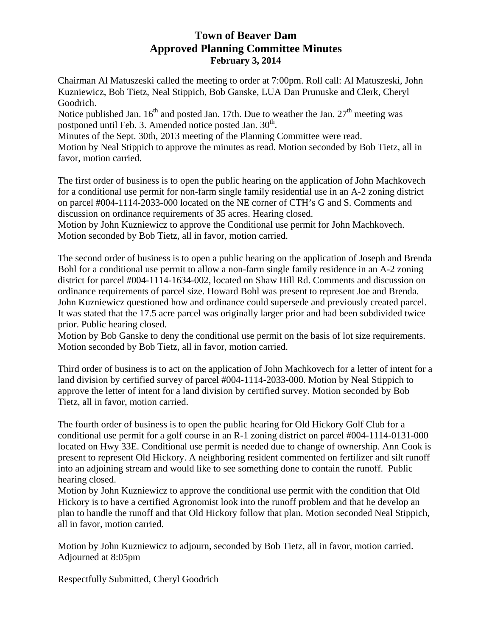# **Town of Beaver Dam Approved Planning Committee Minutes February 3, 2014**

Chairman Al Matuszeski called the meeting to order at 7:00pm. Roll call: Al Matuszeski, John Kuzniewicz, Bob Tietz, Neal Stippich, Bob Ganske, LUA Dan Prunuske and Clerk, Cheryl Goodrich.

Notice published Jan.  $16<sup>th</sup>$  and posted Jan. 17th. Due to weather the Jan.  $27<sup>th</sup>$  meeting was postponed until Feb. 3. Amended notice posted Jan. 30<sup>th</sup>.

Minutes of the Sept. 30th, 2013 meeting of the Planning Committee were read.

Motion by Neal Stippich to approve the minutes as read. Motion seconded by Bob Tietz, all in favor, motion carried.

The first order of business is to open the public hearing on the application of John Machkovech for a conditional use permit for non-farm single family residential use in an A-2 zoning district on parcel #004-1114-2033-000 located on the NE corner of CTH's G and S. Comments and discussion on ordinance requirements of 35 acres. Hearing closed.

Motion by John Kuzniewicz to approve the Conditional use permit for John Machkovech. Motion seconded by Bob Tietz, all in favor, motion carried.

The second order of business is to open a public hearing on the application of Joseph and Brenda Bohl for a conditional use permit to allow a non-farm single family residence in an A-2 zoning district for parcel #004-1114-1634-002, located on Shaw Hill Rd. Comments and discussion on ordinance requirements of parcel size. Howard Bohl was present to represent Joe and Brenda. John Kuzniewicz questioned how and ordinance could supersede and previously created parcel. It was stated that the 17.5 acre parcel was originally larger prior and had been subdivided twice prior. Public hearing closed.

Motion by Bob Ganske to deny the conditional use permit on the basis of lot size requirements. Motion seconded by Bob Tietz, all in favor, motion carried.

Third order of business is to act on the application of John Machkovech for a letter of intent for a land division by certified survey of parcel #004-1114-2033-000. Motion by Neal Stippich to approve the letter of intent for a land division by certified survey. Motion seconded by Bob Tietz, all in favor, motion carried.

The fourth order of business is to open the public hearing for Old Hickory Golf Club for a conditional use permit for a golf course in an R-1 zoning district on parcel #004-1114-0131-000 located on Hwy 33E. Conditional use permit is needed due to change of ownership. Ann Cook is present to represent Old Hickory. A neighboring resident commented on fertilizer and silt runoff into an adjoining stream and would like to see something done to contain the runoff. Public hearing closed.

Motion by John Kuzniewicz to approve the conditional use permit with the condition that Old Hickory is to have a certified Agronomist look into the runoff problem and that he develop an plan to handle the runoff and that Old Hickory follow that plan. Motion seconded Neal Stippich, all in favor, motion carried.

Motion by John Kuzniewicz to adjourn, seconded by Bob Tietz, all in favor, motion carried. Adjourned at 8:05pm

Respectfully Submitted, Cheryl Goodrich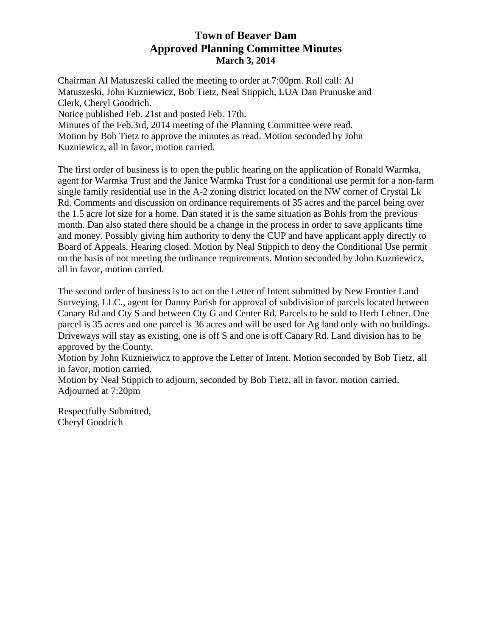# **Town of Beaver Dam Approved Planning Committee Minutes March 3, 2014**

Chairman Al Matuszeski called the meeting to order at 7:00pm. Roll call: Al Matuszeski, John Kuzniewicz, Bob Tietz, Neal Stippich, LUA Dan Prunuske and Clerk, Cheryl Goodrich. Notice published Feb. 21st and posted Feb. 17th. Minutes of the Feb.3rd, 2014 meeting of the Planning Committee were read. Motion by Bob Tietz to approve the minutes as read. Motion seconded by John Kuzniewicz, all in favor, motion carried.

The first order of business is to open the public hearing on the application of Ronald Warmka, agent for Warmka Trust and the Janice Warmka Trust for a conditional use permit for a non-farm single family residential use in the A-2 zoning district located on the NW corner of Crystal Lk Rd. Comments and discussion on ordinance requirements of 35 acres and the parcel being over the 1.5 acre lot size for a home. Dan stated it is the same situation as Bohls from the previous month. Dan also stated there should be a change in the process in order to save applicants time and money. Possibly giving him authority to deny the CUP and have applicant apply directly to Board of Appeals. Hearing closed. Motion by Neal Stippich to deny the Conditional Use permit on the basis of not meeting the ordinance requirements. Motion seconded by John Kuzniewicz, all in favor, motion carried.

The second order of business is to act on the Letter of Intent submitted by New Frontier Land Surveying, LLC., agent for Danny Parish for approval of subdivision of parcels located between Canary Rd and Cty S and between Cty G and Center Rd. Parcels to be sold to Herb Lehner. One parcel is 35 acres and one parcel is 36 acres and will be used for Ag land only with no buildings. Driveways will stay as existing, one is off S and one is off Canary Rd. Land division has to be approved by the County.

Motion by John Kuznieiwicz to approve the Letter of Intent. Motion seconded by Bob Tietz, all in favor, motion carried.

Motion by Neal Stippich to adjourn, seconded by Bob Tietz, all in favor, motion carried. Adjourned at 7:20pm

Respectfully Submitted, Cheryl Goodrich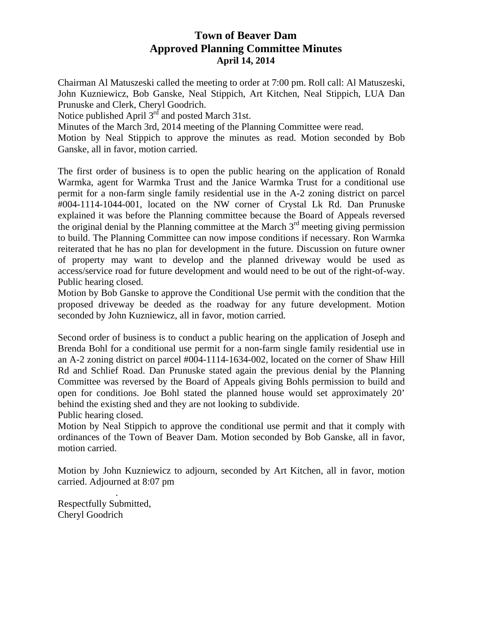### **Town of Beaver Dam Approved Planning Committee Minutes April 14, 2014**

Chairman Al Matuszeski called the meeting to order at 7:00 pm. Roll call: Al Matuszeski, John Kuzniewicz, Bob Ganske, Neal Stippich, Art Kitchen, Neal Stippich, LUA Dan Prunuske and Clerk, Cheryl Goodrich.

Notice published April  $3^{rd}$  and posted March 31st.

Minutes of the March 3rd, 2014 meeting of the Planning Committee were read.

Motion by Neal Stippich to approve the minutes as read. Motion seconded by Bob Ganske, all in favor, motion carried.

The first order of business is to open the public hearing on the application of Ronald Warmka, agent for Warmka Trust and the Janice Warmka Trust for a conditional use permit for a non-farm single family residential use in the A-2 zoning district on parcel #004-1114-1044-001, located on the NW corner of Crystal Lk Rd. Dan Prunuske explained it was before the Planning committee because the Board of Appeals reversed the original denial by the Planning committee at the March  $3<sup>rd</sup>$  meeting giving permission to build. The Planning Committee can now impose conditions if necessary. Ron Warmka reiterated that he has no plan for development in the future. Discussion on future owner of property may want to develop and the planned driveway would be used as access/service road for future development and would need to be out of the right-of-way. Public hearing closed.

Motion by Bob Ganske to approve the Conditional Use permit with the condition that the proposed driveway be deeded as the roadway for any future development. Motion seconded by John Kuzniewicz, all in favor, motion carried.

Second order of business is to conduct a public hearing on the application of Joseph and Brenda Bohl for a conditional use permit for a non-farm single family residential use in an A-2 zoning district on parcel #004-1114-1634-002, located on the corner of Shaw Hill Rd and Schlief Road. Dan Prunuske stated again the previous denial by the Planning Committee was reversed by the Board of Appeals giving Bohls permission to build and open for conditions. Joe Bohl stated the planned house would set approximately 20' behind the existing shed and they are not looking to subdivide.

Public hearing closed.

Motion by Neal Stippich to approve the conditional use permit and that it comply with ordinances of the Town of Beaver Dam. Motion seconded by Bob Ganske, all in favor, motion carried.

Motion by John Kuzniewicz to adjourn, seconded by Art Kitchen, all in favor, motion carried. Adjourned at 8:07 pm

Respectfully Submitted, Cheryl Goodrich

.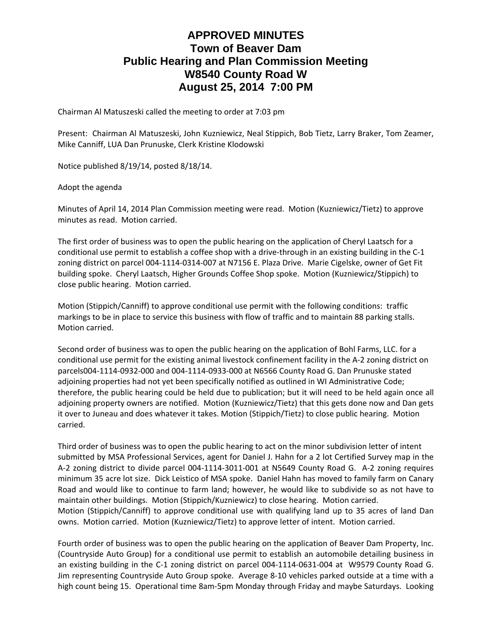# **APPROVED MINUTES Town of Beaver Dam Public Hearing and Plan Commission Meeting W8540 County Road W August 25, 2014 7:00 PM**

Chairman Al Matuszeski called the meeting to order at 7:03 pm

Present: Chairman Al Matuszeski, John Kuzniewicz, Neal Stippich, Bob Tietz, Larry Braker, Tom Zeamer, Mike Canniff, LUA Dan Prunuske, Clerk Kristine Klodowski

Notice published 8/19/14, posted 8/18/14.

#### Adopt the agenda

Minutes of April 14, 2014 Plan Commission meeting were read. Motion (Kuzniewicz/Tietz) to approve minutes as read. Motion carried.

The first order of business was to open the public hearing on the application of Cheryl Laatsch for a conditional use permit to establish a coffee shop with a drive-through in an existing building in the C-1 zoning district on parcel 004‐1114‐0314‐007 at N7156 E. Plaza Drive. Marie Cigelske, owner of Get Fit building spoke. Cheryl Laatsch, Higher Grounds Coffee Shop spoke. Motion (Kuzniewicz/Stippich) to close public hearing. Motion carried.

Motion (Stippich/Canniff) to approve conditional use permit with the following conditions: traffic markings to be in place to service this business with flow of traffic and to maintain 88 parking stalls. Motion carried.

Second order of business was to open the public hearing on the application of Bohl Farms, LLC. for a conditional use permit for the existing animal livestock confinement facility in the A‐2 zoning district on parcels004‐1114‐0932‐000 and 004‐1114‐0933‐000 at N6566 County Road G. Dan Prunuske stated adjoining properties had not yet been specifically notified as outlined in WI Administrative Code; therefore, the public hearing could be held due to publication; but it will need to be held again once all adjoining property owners are notified. Motion (Kuzniewicz/Tietz) that this gets done now and Dan gets it over to Juneau and does whatever it takes. Motion (Stippich/Tietz) to close public hearing. Motion carried.

Third order of business was to open the public hearing to act on the minor subdivision letter of intent submitted by MSA Professional Services, agent for Daniel J. Hahn for a 2 lot Certified Survey map in the A‐2 zoning district to divide parcel 004‐1114‐3011‐001 at N5649 County Road G. A‐2 zoning requires minimum 35 acre lot size. Dick Leistico of MSA spoke. Daniel Hahn has moved to family farm on Canary Road and would like to continue to farm land; however, he would like to subdivide so as not have to maintain other buildings. Motion (Stippich/Kuzniewicz) to close hearing. Motion carried. Motion (Stippich/Canniff) to approve conditional use with qualifying land up to 35 acres of land Dan owns. Motion carried. Motion (Kuzniewicz/Tietz) to approve letter of intent. Motion carried.

Fourth order of business was to open the public hearing on the application of Beaver Dam Property, Inc. (Countryside Auto Group) for a conditional use permit to establish an automobile detailing business in an existing building in the C-1 zoning district on parcel 004-1114-0631-004 at W9579 County Road G. Jim representing Countryside Auto Group spoke. Average 8‐10 vehicles parked outside at a time with a high count being 15. Operational time 8am‐5pm Monday through Friday and maybe Saturdays. Looking